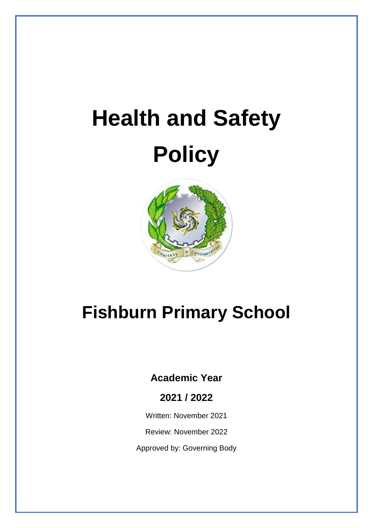# **Health and Safety Policy**



# **Fishburn Primary School**

## **Academic Year**

### **2021 / 2022**

Written: November 2021

Review: November 2022

Approved by: Governing Body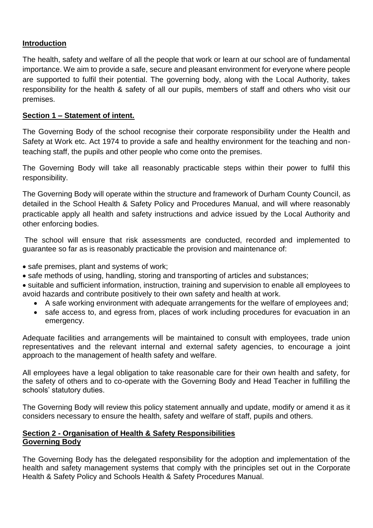#### **Introduction**

The health, safety and welfare of all the people that work or learn at our school are of fundamental importance. We aim to provide a safe, secure and pleasant environment for everyone where people are supported to fulfil their potential. The governing body, along with the Local Authority, takes responsibility for the health & safety of all our pupils, members of staff and others who visit our premises.

#### **Section 1 – Statement of intent.**

The Governing Body of the school recognise their corporate responsibility under the Health and Safety at Work etc. Act 1974 to provide a safe and healthy environment for the teaching and nonteaching staff, the pupils and other people who come onto the premises.

The Governing Body will take all reasonably practicable steps within their power to fulfil this responsibility.

The Governing Body will operate within the structure and framework of Durham County Council, as detailed in the School Health & Safety Policy and Procedures Manual, and will where reasonably practicable apply all health and safety instructions and advice issued by the Local Authority and other enforcing bodies.

The school will ensure that risk assessments are conducted, recorded and implemented to guarantee so far as is reasonably practicable the provision and maintenance of:

- safe premises, plant and systems of work;
- safe methods of using, handling, storing and transporting of articles and substances;
- suitable and sufficient information, instruction, training and supervision to enable all employees to avoid hazards and contribute positively to their own safety and health at work.
	- A safe working environment with adequate arrangements for the welfare of employees and;
	- safe access to, and egress from, places of work including procedures for evacuation in an emergency.

Adequate facilities and arrangements will be maintained to consult with employees, trade union representatives and the relevant internal and external safety agencies, to encourage a joint approach to the management of health safety and welfare.

All employees have a legal obligation to take reasonable care for their own health and safety, for the safety of others and to co-operate with the Governing Body and Head Teacher in fulfilling the schools' statutory duties.

The Governing Body will review this policy statement annually and update, modify or amend it as it considers necessary to ensure the health, safety and welfare of staff, pupils and others.

#### **Section 2 - Organisation of Health & Safety Responsibilities Governing Body**

The Governing Body has the delegated responsibility for the adoption and implementation of the health and safety management systems that comply with the principles set out in the Corporate Health & Safety Policy and Schools Health & Safety Procedures Manual.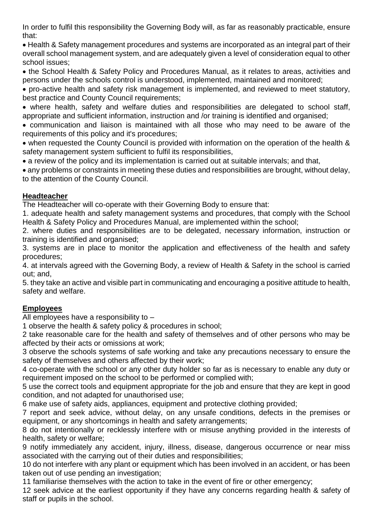In order to fulfil this responsibility the Governing Body will, as far as reasonably practicable, ensure that:

• Health & Safety management procedures and systems are incorporated as an integral part of their overall school management system, and are adequately given a level of consideration equal to other school issues;

• the School Health & Safety Policy and Procedures Manual, as it relates to areas, activities and persons under the schools control is understood, implemented, maintained and monitored;

• pro-active health and safety risk management is implemented, and reviewed to meet statutory, best practice and County Council requirements;

• where health, safety and welfare duties and responsibilities are delegated to school staff. appropriate and sufficient information, instruction and /or training is identified and organised;

• communication and liaison is maintained with all those who may need to be aware of the requirements of this policy and it's procedures;

• when requested the County Council is provided with information on the operation of the health & safety management system sufficient to fulfil its responsibilities,

• a review of the policy and its implementation is carried out at suitable intervals; and that,

• any problems or constraints in meeting these duties and responsibilities are brought, without delay, to the attention of the County Council.

#### **Headteacher**

The Headteacher will co-operate with their Governing Body to ensure that:

1. adequate health and safety management systems and procedures, that comply with the School Health & Safety Policy and Procedures Manual, are implemented within the school;

2. where duties and responsibilities are to be delegated, necessary information, instruction or training is identified and organised;

3. systems are in place to monitor the application and effectiveness of the health and safety procedures;

4. at intervals agreed with the Governing Body, a review of Health & Safety in the school is carried out; and,

5. they take an active and visible part in communicating and encouraging a positive attitude to health, safety and welfare.

#### **Employees**

All employees have a responsibility to –

1 observe the health & safety policy & procedures in school;

2 take reasonable care for the health and safety of themselves and of other persons who may be affected by their acts or omissions at work;

3 observe the schools systems of safe working and take any precautions necessary to ensure the safety of themselves and others affected by their work;

4 co-operate with the school or any other duty holder so far as is necessary to enable any duty or requirement imposed on the school to be performed or complied with;

5 use the correct tools and equipment appropriate for the job and ensure that they are kept in good condition, and not adapted for unauthorised use;

6 make use of safety aids, appliances, equipment and protective clothing provided;

7 report and seek advice, without delay, on any unsafe conditions, defects in the premises or equipment, or any shortcomings in health and safety arrangements;

8 do not intentionally or recklessly interfere with or misuse anything provided in the interests of health, safety or welfare;

9 notify immediately any accident, injury, illness, disease, dangerous occurrence or near miss associated with the carrying out of their duties and responsibilities;

10 do not interfere with any plant or equipment which has been involved in an accident, or has been taken out of use pending an investigation;

11 familiarise themselves with the action to take in the event of fire or other emergency;

12 seek advice at the earliest opportunity if they have any concerns regarding health & safety of staff or pupils in the school.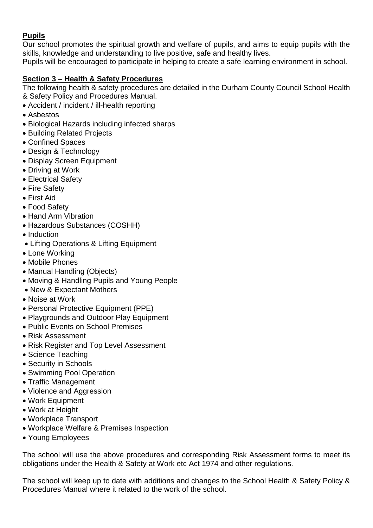#### **Pupils**

Our school promotes the spiritual growth and welfare of pupils, and aims to equip pupils with the skills, knowledge and understanding to live positive, safe and healthy lives.

Pupils will be encouraged to participate in helping to create a safe learning environment in school.

#### **Section 3 – Health & Safety Procedures**

The following health & safety procedures are detailed in the Durham County Council School Health & Safety Policy and Procedures Manual.

- Accident / incident / ill-health reporting
- Asbestos
- Biological Hazards including infected sharps
- Building Related Projects
- Confined Spaces
- Design & Technology
- Display Screen Equipment
- Driving at Work
- Electrical Safety
- Fire Safety
- First Aid
- Food Safety
- Hand Arm Vibration
- Hazardous Substances (COSHH)
- Induction
- Lifting Operations & Lifting Equipment
- Lone Working
- Mobile Phones
- Manual Handling (Objects)
- Moving & Handling Pupils and Young People
- New & Expectant Mothers
- Noise at Work
- Personal Protective Equipment (PPE)
- Playgrounds and Outdoor Play Equipment
- Public Events on School Premises
- Risk Assessment
- Risk Register and Top Level Assessment
- Science Teaching
- Security in Schools
- Swimming Pool Operation
- Traffic Management
- Violence and Aggression
- Work Equipment
- Work at Height
- Workplace Transport
- Workplace Welfare & Premises Inspection
- Young Employees

The school will use the above procedures and corresponding Risk Assessment forms to meet its obligations under the Health & Safety at Work etc Act 1974 and other regulations.

The school will keep up to date with additions and changes to the School Health & Safety Policy & Procedures Manual where it related to the work of the school.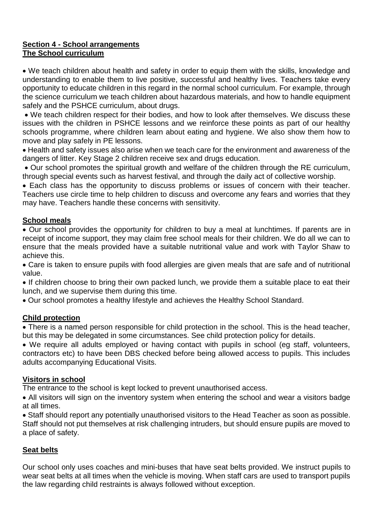#### **Section 4 - School arrangements The School curriculum**

• We teach children about health and safety in order to equip them with the skills, knowledge and understanding to enable them to live positive, successful and healthy lives. Teachers take every opportunity to educate children in this regard in the normal school curriculum. For example, through the science curriculum we teach children about hazardous materials, and how to handle equipment safely and the PSHCE curriculum, about drugs.

• We teach children respect for their bodies, and how to look after themselves. We discuss these issues with the children in PSHCE lessons and we reinforce these points as part of our healthy schools programme, where children learn about eating and hygiene. We also show them how to move and play safely in PE lessons.

• Health and safety issues also arise when we teach care for the environment and awareness of the dangers of litter. Key Stage 2 children receive sex and drugs education.

• Our school promotes the spiritual growth and welfare of the children through the RE curriculum, through special events such as harvest festival, and through the daily act of collective worship.

• Each class has the opportunity to discuss problems or issues of concern with their teacher. Teachers use circle time to help children to discuss and overcome any fears and worries that they may have. Teachers handle these concerns with sensitivity.

#### **School meals**

• Our school provides the opportunity for children to buy a meal at lunchtimes. If parents are in receipt of income support, they may claim free school meals for their children. We do all we can to ensure that the meals provided have a suitable nutritional value and work with Taylor Shaw to achieve this.

• Care is taken to ensure pupils with food allergies are given meals that are safe and of nutritional value.

• If children choose to bring their own packed lunch, we provide them a suitable place to eat their lunch, and we supervise them during this time.

• Our school promotes a healthy lifestyle and achieves the Healthy School Standard.

#### **Child protection**

• There is a named person responsible for child protection in the school. This is the head teacher, but this may be delegated in some circumstances. See child protection policy for details.

• We require all adults employed or having contact with pupils in school (eg staff, volunteers, contractors etc) to have been DBS checked before being allowed access to pupils. This includes adults accompanying Educational Visits.

#### **Visitors in school**

The entrance to the school is kept locked to prevent unauthorised access.

• All visitors will sign on the inventory system when entering the school and wear a visitors badge at all times.

• Staff should report any potentially unauthorised visitors to the Head Teacher as soon as possible. Staff should not put themselves at risk challenging intruders, but should ensure pupils are moved to a place of safety.

#### **Seat belts**

Our school only uses coaches and mini-buses that have seat belts provided. We instruct pupils to wear seat belts at all times when the vehicle is moving. When staff cars are used to transport pupils the law regarding child restraints is always followed without exception.